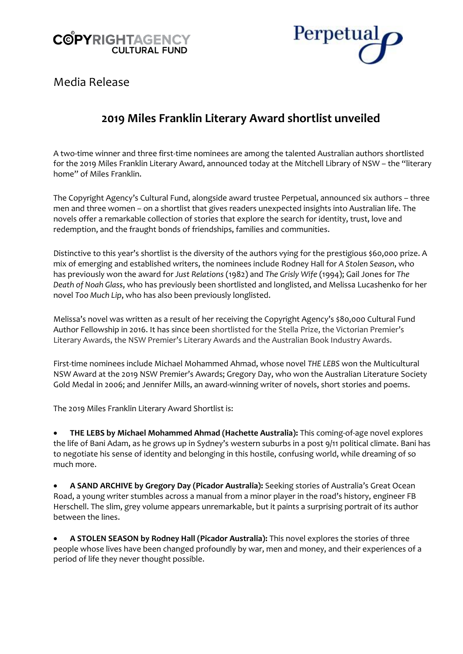# **COPYRIGHTAGENCY CULTURAL FUND**



Media Release

# **2019 Miles Franklin Literary Award shortlist unveiled**

A two-time winner and three first-time nominees are among the talented Australian authors shortlisted for the 2019 Miles Franklin Literary Award, announced today at the Mitchell Library of NSW – the "literary home" of Miles Franklin.

The Copyright Agency's Cultural Fund, alongside award trustee Perpetual, announced six authors – three men and three women – on a shortlist that gives readers unexpected insights into Australian life. The novels offer a remarkable collection of stories that explore the search for identity, trust, love and redemption, and the fraught bonds of friendships, families and communities.

Distinctive to this year's shortlist is the diversity of the authors vying for the prestigious \$60,000 prize. A mix of emerging and established writers, the nominees include Rodney Hall for *A Stolen Season*, who has previously won the award for *Just Relations* (1982) and *The Grisly Wife* (1994); Gail Jones for *The Death of Noah Glass*, who has previously been shortlisted and longlisted, and Melissa Lucashenko for her novel *Too Much Lip*, who has also been previously longlisted.

Melissa's novel was written as a result of her receiving the Copyright Agency's \$80,000 Cultural Fund Author Fellowship in 2016. It has since been shortlisted for the Stella Prize, the Victorian Premier's Literary Awards, the NSW Premier's Literary Awards and the Australian Book Industry Awards.

First-time nominees include Michael Mohammed Ahmad, whose novel *THE LEBS* won the Multicultural NSW Award at the 2019 NSW Premier's Awards; Gregory Day, who won the Australian Literature Society Gold Medal in 2006; and Jennifer Mills, an award-winning writer of novels, short stories and poems.

The 2019 Miles Franklin Literary Award Shortlist is:

• **THE LEBS by Michael Mohammed Ahmad (Hachette Australia):** This coming-of-age novel explores the life of Bani Adam, as he grows up in Sydney's western suburbs in a post 9/11 political climate. Bani has to negotiate his sense of identity and belonging in this hostile, confusing world, while dreaming of so much more.

• **A SAND ARCHIVE by Gregory Day (Picador Australia):** Seeking stories of Australia's Great Ocean Road, a young writer stumbles across a manual from a minor player in the road's history, engineer FB Herschell. The slim, grey volume appears unremarkable, but it paints a surprising portrait of its author between the lines.

• **A STOLEN SEASON by Rodney Hall (Picador Australia):** This novel explores the stories of three people whose lives have been changed profoundly by war, men and money, and their experiences of a period of life they never thought possible.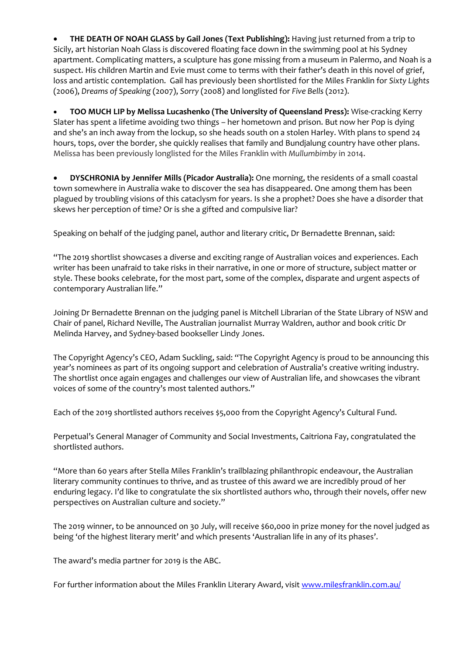• **THE DEATH OF NOAH GLASS by Gail Jones (Text Publishing):** Having just returned from a trip to Sicily, art historian Noah Glass is discovered floating face down in the swimming pool at his Sydney apartment. Complicating matters, a sculpture has gone missing from a museum in Palermo, and Noah is a suspect. His children Martin and Evie must come to terms with their father's death in this novel of grief, loss and artistic contemplation. Gail has previously been shortlisted for the Miles Franklin for *Sixty Lights* (2006), *Dreams of Speaking* (2007), *Sorry* (2008) and longlisted for *Five Bells* (2012).

• **TOO MUCH LIP by Melissa Lucashenko (The University of Queensland Press):** Wise-cracking Kerry Slater has spent a lifetime avoiding two things – her hometown and prison. But now her Pop is dying and she's an inch away from the lockup, so she heads south on a stolen Harley. With plans to spend 24 hours, tops, over the border, she quickly realises that family and Bundjalung country have other plans. Melissa has been previously longlisted for the Miles Franklin with *Mullumbimby* in 2014.

• **DYSCHRONIA by Jennifer Mills (Picador Australia):** One morning, the residents of a small coastal town somewhere in Australia wake to discover the sea has disappeared. One among them has been plagued by troubling visions of this cataclysm for years. Is she a prophet? Does she have a disorder that skews her perception of time? Or is she a gifted and compulsive liar?

Speaking on behalf of the judging panel, author and literary critic, Dr Bernadette Brennan, said:

"The 2019 shortlist showcases a diverse and exciting range of Australian voices and experiences. Each writer has been unafraid to take risks in their narrative, in one or more of structure, subject matter or style. These books celebrate, for the most part, some of the complex, disparate and urgent aspects of contemporary Australian life."

Joining Dr Bernadette Brennan on the judging panel is Mitchell Librarian of the State Library of NSW and Chair of panel, Richard Neville, The Australian journalist Murray Waldren, author and book critic Dr Melinda Harvey, and Sydney-based bookseller Lindy Jones.

The Copyright Agency's CEO, Adam Suckling, said: "The Copyright Agency is proud to be announcing this year's nominees as part of its ongoing support and celebration of Australia's creative writing industry. The shortlist once again engages and challenges our view of Australian life, and showcases the vibrant voices of some of the country's most talented authors."

Each of the 2019 shortlisted authors receives \$5,000 from the Copyright Agency's Cultural Fund.

Perpetual's General Manager of Community and Social Investments, Caitriona Fay, congratulated the shortlisted authors.

"More than 60 years after Stella Miles Franklin's trailblazing philanthropic endeavour, the Australian literary community continues to thrive, and as trustee of this award we are incredibly proud of her enduring legacy. I'd like to congratulate the six shortlisted authors who, through their novels, offer new perspectives on Australian culture and society."

The 2019 winner, to be announced on 30 July, will receive \$60,000 in prize money for the novel judged as being 'of the highest literary merit' and which presents 'Australian life in any of its phases'.

The award's media partner for 2019 is the ABC.

For further information about the Miles Franklin Literary Award, visit [www.milesfranklin.com.au/](http://www.milesfranklin.com.au/)